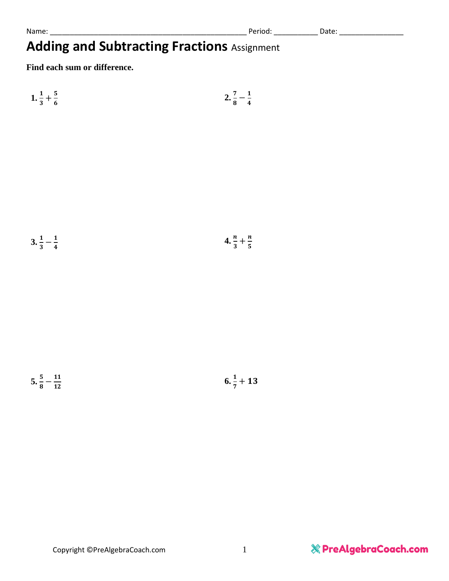Name: \_\_\_\_\_\_\_\_\_\_\_\_\_\_\_\_\_\_\_\_\_\_\_\_\_\_\_\_\_\_\_\_\_\_\_\_\_\_\_\_\_\_\_\_\_\_\_\_\_ Period: \_\_\_\_\_\_\_\_\_\_\_ Date: \_\_\_\_\_\_\_\_\_\_\_\_\_\_\_\_

# **Adding and Subtracting Fractions** Assignment

**Find each sum or difference.**



$$
3.\frac{1}{3} - \frac{1}{4} \hspace{1.5cm} 4.\frac{n}{3} + \frac{n}{5}
$$

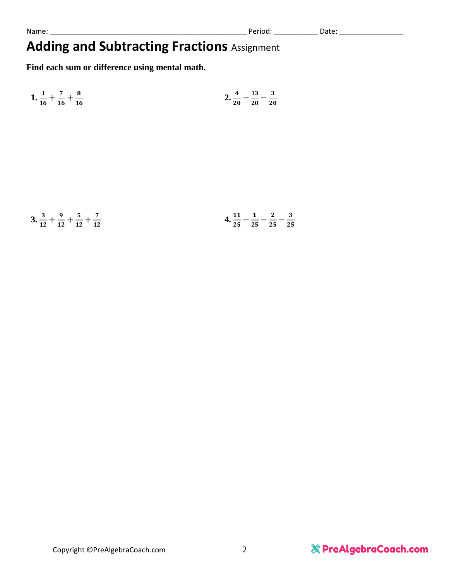## **Adding and Subtracting Fractions** Assignment

**Find each sum or difference using mental math.**

|  |                                                 |  | $2\frac{4}{-1} - \frac{13}{-1} - \frac{3}{-1}$ |  |
|--|-------------------------------------------------|--|------------------------------------------------|--|
|  | 1. $\frac{1}{16} + \frac{7}{16} + \frac{8}{16}$ |  | $\frac{2}{20} - \frac{1}{20} - \frac{1}{20}$   |  |

|  | $3.\frac{3}{12} + \frac{9}{12} + \frac{5}{12} + \frac{7}{12}$ |  | $\blacksquare$ | 2 3 |  |
|--|---------------------------------------------------------------|--|----------------|-----|--|
|  | $12 \t12 \t17 \t17$                                           |  | 25 25 25       |     |  |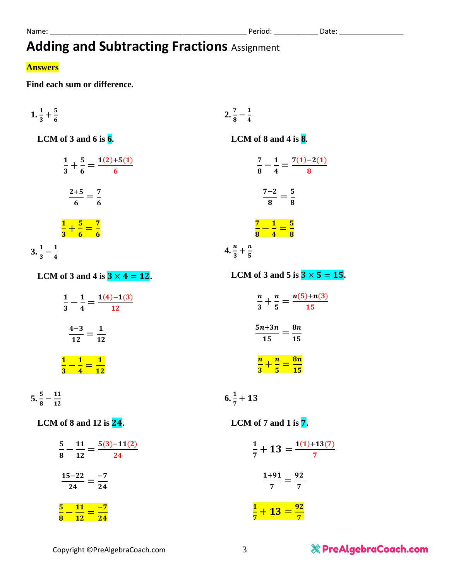# **Adding and Subtracting Fractions** Assignment

#### **Answers**

**Find each sum or difference.**

$$
1. \frac{1}{3} + \frac{5}{6} \hspace{1.5cm} 2. \frac{7}{8}
$$

 **LCM of 3 and 6 is 6.**

$$
\frac{1}{3} + \frac{5}{6} = \frac{1(2) + 5(1)}{6}
$$

$$
\frac{2+5}{6} = \frac{7}{6}
$$

$$
\frac{1}{3} + \frac{5}{6} = \frac{7}{6}
$$

$$
3 \cdot \frac{1}{3} - \frac{1}{4}
$$

 $-\frac{1}{4}$  $\frac{1}{4}$ 

 **LCM of 8 and 4 is 8.**

$$
\frac{7}{8} - \frac{1}{4} = \frac{7(1) - 2(1)}{8}
$$

$$
\frac{7 - 2}{8} = \frac{5}{8}
$$

$$
\frac{7}{8} - \frac{1}{4} = \frac{5}{8}
$$

$$
4. \frac{n}{3} + \frac{n}{5}
$$

 **LCM** of 3 and 5 is  $3 \times 5 = 15$ .

 $\frac{n}{5} = \frac{n(5)+n(3)}{15}$ 15

15

 $\boldsymbol{n}$  $\frac{n}{3}+\frac{n}{5}$ 

 $\overline{\boldsymbol{n}}$  $\frac{n}{3} + \frac{n}{5}$ 

 $5n+3n$ 

 $\frac{n+3n}{15}=\frac{8n}{15}$ 

 $\frac{n}{5} = \frac{8n}{15}$ **15** 

 **LCM** of 3 and 4 is  $3 \times 4 = 12$ .

- $\mathbf{1}$  $\frac{1}{3}-\frac{1}{4}$  $\frac{1}{4} = \frac{1(4)-1(3)}{12}$ **12**  $4-3$  $\frac{1-3}{12} = \frac{1}{12}$ 12  $\mathbf{1}$  $\frac{1}{3}-\frac{1}{4}$  $\frac{1}{4} = \frac{1}{12}$ <u>12</u>
- $5.\frac{5}{8}-\frac{11}{12}$  $\frac{11}{12}$

 $6.\frac{1}{7} + 13$ 

#### **LCM of 8 and 12 is .**

 **LCM of 7 and 1 is .**

| $11 - 5(3)-11(2)$<br>5.<br>24<br>8<br>12 | $\frac{1}{7}+13=\frac{1(1)+13(7)}{7}$ |
|------------------------------------------|---------------------------------------|
| $15 - 22 - 7$<br>24<br>24                | $1 + 91$<br>92<br>7<br>7              |
| $-7$<br>12                               | $-4$ $13 = \frac{92}{7}$              |

### & PreAlgebraCoach.com